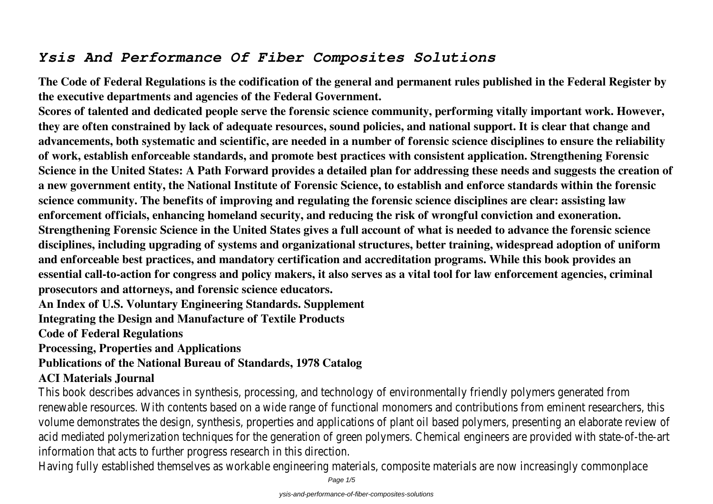## *Ysis And Performance Of Fiber Composites Solutions*

**The Code of Federal Regulations is the codification of the general and permanent rules published in the Federal Register by the executive departments and agencies of the Federal Government.**

**Scores of talented and dedicated people serve the forensic science community, performing vitally important work. However, they are often constrained by lack of adequate resources, sound policies, and national support. It is clear that change and advancements, both systematic and scientific, are needed in a number of forensic science disciplines to ensure the reliability of work, establish enforceable standards, and promote best practices with consistent application. Strengthening Forensic Science in the United States: A Path Forward provides a detailed plan for addressing these needs and suggests the creation of a new government entity, the National Institute of Forensic Science, to establish and enforce standards within the forensic science community. The benefits of improving and regulating the forensic science disciplines are clear: assisting law enforcement officials, enhancing homeland security, and reducing the risk of wrongful conviction and exoneration. Strengthening Forensic Science in the United States gives a full account of what is needed to advance the forensic science disciplines, including upgrading of systems and organizational structures, better training, widespread adoption of uniform and enforceable best practices, and mandatory certification and accreditation programs. While this book provides an essential call-to-action for congress and policy makers, it also serves as a vital tool for law enforcement agencies, criminal prosecutors and attorneys, and forensic science educators.**

**An Index of U.S. Voluntary Engineering Standards. Supplement**

**Integrating the Design and Manufacture of Textile Products**

**Code of Federal Regulations**

**Processing, Properties and Applications**

**Publications of the National Bureau of Standards, 1978 Catalog**

## **ACI Materials Journal**

This book describes advances in synthesis, processing, and technology of environmentally friendly polymers generate renewable resources. With contents based on a wide range of functional monomers and contributions from eminent volume demonstrates the design, synthesis, properties and applications of plant oil based polymers, presenting an e acid mediated polymerization techniques for the generation of green polymers. Chemical engineers are provided with information that acts to further progress research in this direction.

Having fully established themselves as workable engineering materials, composite materials are now increasingly con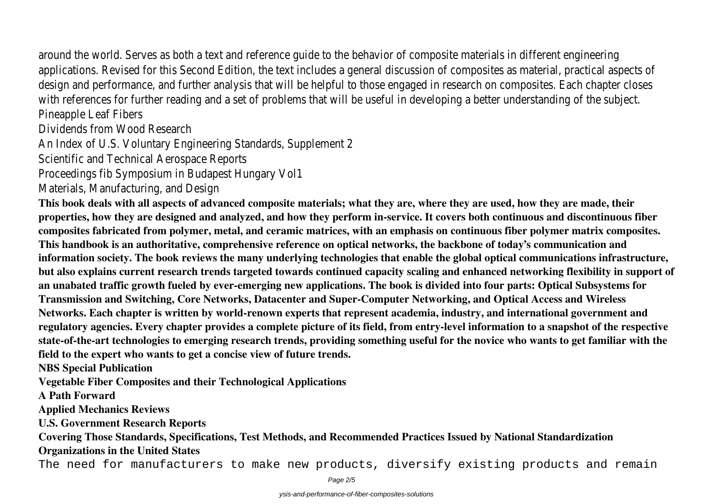around the world. Serves as both a text and reference quide to the behavior of composite materials in different eng applications. Revised for this Second Edition, the text includes a general discussion of composites as material, pract design and performance, and further analysis that will be helpful to those engaged in research on composites. Each with references for further reading and a set of problems that will be useful in developing a better understanding o Pineapple Leaf Fibers

Dividends from Wood Research

An Index of U.S. Voluntary Engineering Standards, Supplement 2

Scientific and Technical Aerospace Reports

Proceedings fib Symposium in Budapest Hungary Vol1

Materials, Manufacturing, and Design

**This book deals with all aspects of advanced composite materials; what they are, where they are used, how they are made, their properties, how they are designed and analyzed, and how they perform in-service. It covers both continuous and discontinuous fiber composites fabricated from polymer, metal, and ceramic matrices, with an emphasis on continuous fiber polymer matrix composites. This handbook is an authoritative, comprehensive reference on optical networks, the backbone of today's communication and information society. The book reviews the many underlying technologies that enable the global optical communications infrastructure, but also explains current research trends targeted towards continued capacity scaling and enhanced networking flexibility in support of an unabated traffic growth fueled by ever-emerging new applications. The book is divided into four parts: Optical Subsystems for Transmission and Switching, Core Networks, Datacenter and Super-Computer Networking, and Optical Access and Wireless Networks. Each chapter is written by world-renown experts that represent academia, industry, and international government and regulatory agencies. Every chapter provides a complete picture of its field, from entry-level information to a snapshot of the respective state-of-the-art technologies to emerging research trends, providing something useful for the novice who wants to get familiar with the field to the expert who wants to get a concise view of future trends.**

**NBS Special Publication**

**Vegetable Fiber Composites and their Technological Applications**

**A Path Forward**

**Applied Mechanics Reviews**

**U.S. Government Research Reports**

**Covering Those Standards, Specifications, Test Methods, and Recommended Practices Issued by National Standardization Organizations in the United States**

The need for manufacturers to make new products, diversify existing products and remain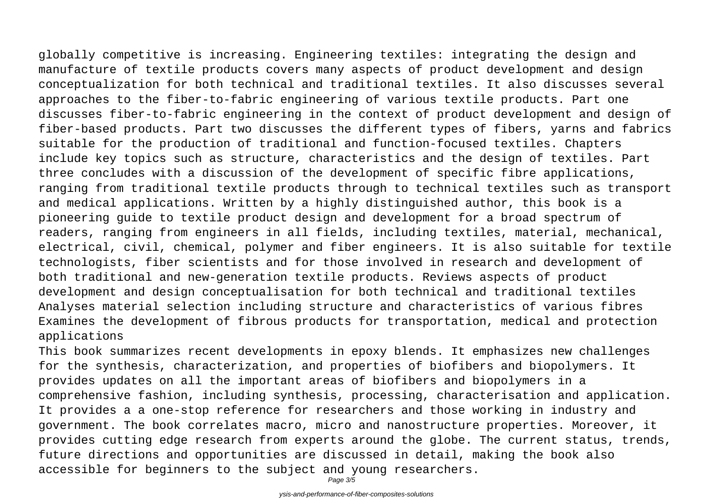globally competitive is increasing. Engineering textiles: integrating the design and manufacture of textile products covers many aspects of product development and design conceptualization for both technical and traditional textiles. It also discusses several approaches to the fiber-to-fabric engineering of various textile products. Part one discusses fiber-to-fabric engineering in the context of product development and design of fiber-based products. Part two discusses the different types of fibers, yarns and fabrics suitable for the production of traditional and function-focused textiles. Chapters include key topics such as structure, characteristics and the design of textiles. Part three concludes with a discussion of the development of specific fibre applications, ranging from traditional textile products through to technical textiles such as transport and medical applications. Written by a highly distinguished author, this book is a pioneering guide to textile product design and development for a broad spectrum of readers, ranging from engineers in all fields, including textiles, material, mechanical, electrical, civil, chemical, polymer and fiber engineers. It is also suitable for textile technologists, fiber scientists and for those involved in research and development of both traditional and new-generation textile products. Reviews aspects of product development and design conceptualisation for both technical and traditional textiles Analyses material selection including structure and characteristics of various fibres Examines the development of fibrous products for transportation, medical and protection applications

This book summarizes recent developments in epoxy blends. It emphasizes new challenges for the synthesis, characterization, and properties of biofibers and biopolymers. It provides updates on all the important areas of biofibers and biopolymers in a comprehensive fashion, including synthesis, processing, characterisation and application. It provides a a one-stop reference for researchers and those working in industry and government. The book correlates macro, micro and nanostructure properties. Moreover, it provides cutting edge research from experts around the globe. The current status, trends, future directions and opportunities are discussed in detail, making the book also accessible for beginners to the subject and young researchers.

Page 3/5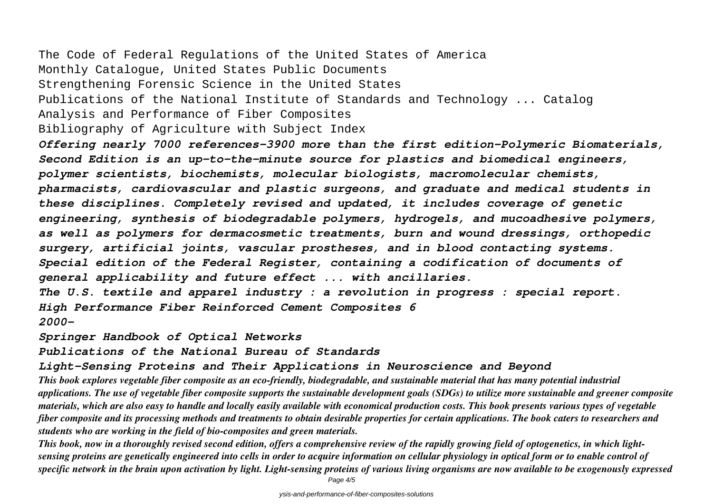The Code of Federal Regulations of the United States of America Monthly Catalogue, United States Public Documents Strengthening Forensic Science in the United States Publications of the National Institute of Standards and Technology ... Catalog Analysis and Performance of Fiber Composites Bibliography of Agriculture with Subject Index *Offering nearly 7000 references-3900 more than the first edition-Polymeric Biomaterials, Second Edition is an up-to-the-minute source for plastics and biomedical engineers, polymer scientists, biochemists, molecular biologists, macromolecular chemists, pharmacists, cardiovascular and plastic surgeons, and graduate and medical students in these disciplines. Completely revised and updated, it includes coverage of genetic*

*engineering, synthesis of biodegradable polymers, hydrogels, and mucoadhesive polymers, as well as polymers for dermacosmetic treatments, burn and wound dressings, orthopedic surgery, artificial joints, vascular prostheses, and in blood contacting systems.*

*Special edition of the Federal Register, containing a codification of documents of general applicability and future effect ... with ancillaries.*

*The U.S. textile and apparel industry : a revolution in progress : special report. High Performance Fiber Reinforced Cement Composites 6 2000-*

*Springer Handbook of Optical Networks*

*Publications of the National Bureau of Standards*

*Light-Sensing Proteins and Their Applications in Neuroscience and Beyond*

*This book explores vegetable fiber composite as an eco-friendly, biodegradable, and sustainable material that has many potential industrial applications. The use of vegetable fiber composite supports the sustainable development goals (SDGs) to utilize more sustainable and greener composite materials, which are also easy to handle and locally easily available with economical production costs. This book presents various types of vegetable fiber composite and its processing methods and treatments to obtain desirable properties for certain applications. The book caters to researchers and students who are working in the field of bio-composites and green materials.*

*This book, now in a thoroughly revised second edition, offers a comprehensive review of the rapidly growing field of optogenetics, in which lightsensing proteins are genetically engineered into cells in order to acquire information on cellular physiology in optical form or to enable control of specific network in the brain upon activation by light. Light-sensing proteins of various living organisms are now available to be exogenously expressed* Page  $4/5$